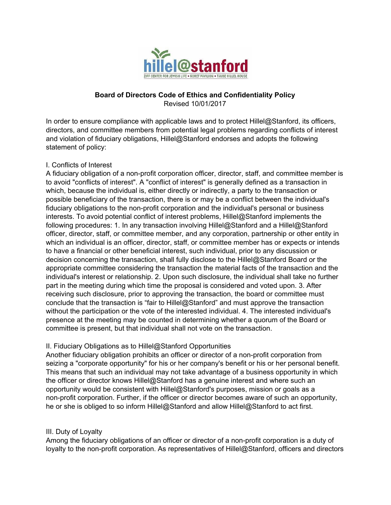

## **Board of Directors Code of Ethics and Confidentiality Policy**

Revised 10/01/2017

In order to ensure compliance with applicable laws and to protect Hillel@Stanford, its officers, directors, and committee members from potential legal problems regarding conflicts of interest and violation of fiduciary obligations, Hillel@Stanford endorses and adopts the following statement of policy:

## I. Conflicts of Interest

A fiduciary obligation of a non-profit corporation officer, director, staff, and committee member is to avoid "conflicts of interest". A "conflict of interest" is generally defined as a transaction in which, because the individual is, either directly or indirectly, a party to the transaction or possible beneficiary of the transaction, there is or may be a conflict between the individual's fiduciary obligations to the non-profit corporation and the individual's personal or business interests. To avoid potential conflict of interest problems, Hillel@Stanford implements the following procedures: 1. In any transaction involving Hillel@Stanford and a Hillel@Stanford officer, director, staff, or committee member, and any corporation, partnership or other entity in which an individual is an officer, director, staff, or committee member has or expects or intends to have a financial or other beneficial interest, such individual, prior to any discussion or decision concerning the transaction, shall fully disclose to the Hillel@Stanford Board or the appropriate committee considering the transaction the material facts of the transaction and the individual's interest or relationship. 2. Upon such disclosure, the individual shall take no further part in the meeting during which time the proposal is considered and voted upon. 3. After receiving such disclosure, prior to approving the transaction, the board or committee must conclude that the transaction is "fair to Hillel@Stanford" and must approve the transaction without the participation or the vote of the interested individual. 4. The interested individual's presence at the meeting may be counted in determining whether a quorum of the Board or committee is present, but that individual shall not vote on the transaction.

## II. Fiduciary Obligations as to Hillel@Stanford Opportunities

Another fiduciary obligation prohibits an officer or director of a non-profit corporation from seizing a "corporate opportunity" for his or her company's benefit or his or her personal benefit. This means that such an individual may not take advantage of a business opportunity in which the officer or director knows Hillel@Stanford has a genuine interest and where such an opportunity would be consistent with Hillel@Stanford's purposes, mission or goals as a non-profit corporation. Further, if the officer or director becomes aware of such an opportunity, he or she is obliged to so inform Hillel@Stanford and allow Hillel@Stanford to act first.

## III. Duty of Loyalty

Among the fiduciary obligations of an officer or director of a non-profit corporation is a duty of loyalty to the non-profit corporation. As representatives of Hillel@Stanford, officers and directors